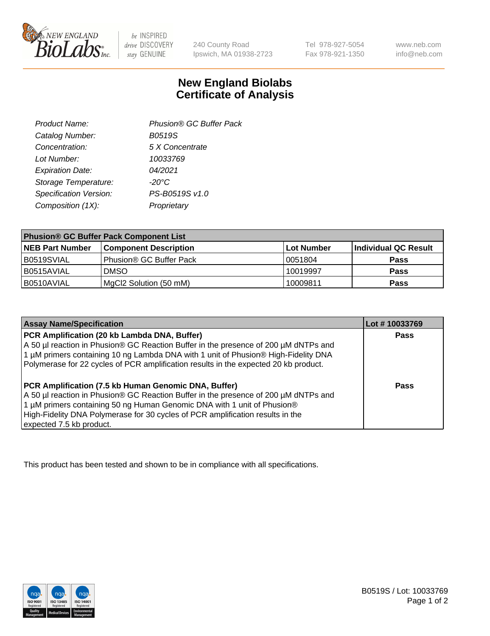

 $be$  INSPIRED drive DISCOVERY stay GENUINE

240 County Road Ipswich, MA 01938-2723 Tel 978-927-5054 Fax 978-921-1350 www.neb.com info@neb.com

## **New England Biolabs Certificate of Analysis**

| Phusion® GC Buffer Pack |
|-------------------------|
| <b>B0519S</b>           |
| 5 X Concentrate         |
| 10033769                |
| 04/2021                 |
| $-20^{\circ}$ C         |
| PS-B0519S v1.0          |
| Proprietary             |
|                         |

| <b>Phusion® GC Buffer Pack Component List</b> |                              |             |                      |  |
|-----------------------------------------------|------------------------------|-------------|----------------------|--|
| <b>NEB Part Number</b>                        | <b>Component Description</b> | ∣Lot Number | Individual QC Result |  |
| B0519SVIAL                                    | Phusion® GC Buffer Pack      | 10051804    | <b>Pass</b>          |  |
| B0515AVIAL                                    | <b>DMSO</b>                  | 10019997    | <b>Pass</b>          |  |
| B0510AVIAL                                    | MgCl2 Solution (50 mM)       | 10009811    | <b>Pass</b>          |  |

| <b>Assay Name/Specification</b>                                                                                                                                                                                                                                                                                                             | Lot #10033769 |
|---------------------------------------------------------------------------------------------------------------------------------------------------------------------------------------------------------------------------------------------------------------------------------------------------------------------------------------------|---------------|
| PCR Amplification (20 kb Lambda DNA, Buffer)<br>A 50 µl reaction in Phusion® GC Reaction Buffer in the presence of 200 µM dNTPs and<br>1 μM primers containing 10 ng Lambda DNA with 1 unit of Phusion® High-Fidelity DNA<br>Polymerase for 22 cycles of PCR amplification results in the expected 20 kb product.                           | <b>Pass</b>   |
| <b>PCR Amplification (7.5 kb Human Genomic DNA, Buffer)</b><br>A 50 µl reaction in Phusion® GC Reaction Buffer in the presence of 200 µM dNTPs and<br>1 µM primers containing 50 ng Human Genomic DNA with 1 unit of Phusion®<br>High-Fidelity DNA Polymerase for 30 cycles of PCR amplification results in the<br>expected 7.5 kb product. | <b>Pass</b>   |

This product has been tested and shown to be in compliance with all specifications.